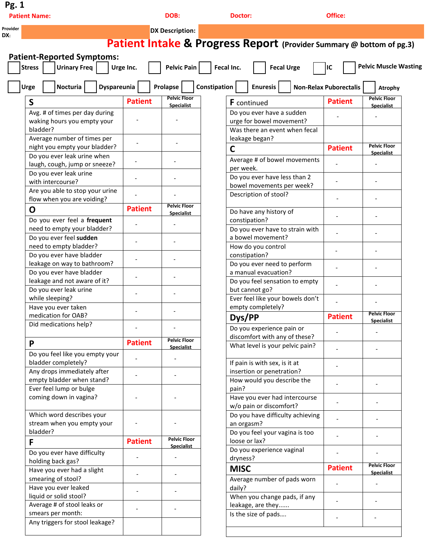| Pg. 1<br><b>Patient Name:</b>                           |                | DOB:                                     | <b>Doctor:</b>                                                                  |                               | Office:        |                                          |  |
|---------------------------------------------------------|----------------|------------------------------------------|---------------------------------------------------------------------------------|-------------------------------|----------------|------------------------------------------|--|
|                                                         |                | <b>DX Description:</b>                   |                                                                                 |                               |                |                                          |  |
|                                                         |                |                                          | <b>Patient Intake &amp; Progress Report</b> (Provider Summary @ bottom of pg.3) |                               |                |                                          |  |
|                                                         |                |                                          |                                                                                 |                               |                |                                          |  |
| <b>Patient-Reported Symptoms:</b>                       |                |                                          |                                                                                 |                               |                |                                          |  |
| <b>Urinary Freq</b><br><b>Stress</b>                    | Urge Inc.      | Pelvic Pain                              | Fecal Inc.                                                                      | <b>Fecal Urge</b><br>IC       |                | <b>Pelvic Muscle Wasting</b>             |  |
| Nocturia<br><b>Dyspareunia</b><br><b>Urge</b>           |                | Prolapse                                 | Constipation<br><b>Enuresis</b>                                                 | <b>Non-Relax Puborectalis</b> |                | <b>Atrophy</b>                           |  |
| $\mathsf{S}$                                            | <b>Patient</b> | <b>Pelvic Floor</b><br><b>Specialist</b> | F continued                                                                     |                               | <b>Patient</b> | <b>Pelvic Floor</b><br><b>Specialist</b> |  |
| Avg. # of times per day during                          |                |                                          | Do you ever have a sudden                                                       |                               |                |                                          |  |
| waking hours you empty your                             |                |                                          | urge for bowel movement?                                                        |                               |                |                                          |  |
| bladder?                                                |                |                                          | Was there an event when fecal                                                   |                               |                |                                          |  |
| Average number of times per                             |                |                                          | leakage began?                                                                  |                               |                |                                          |  |
| night you empty your bladder?                           |                |                                          | $\mathsf{C}$                                                                    |                               | <b>Patient</b> | <b>Pelvic Floor</b><br><b>Specialist</b> |  |
| Do you ever leak urine when                             |                | $\blacksquare$                           | Average # of bowel movements                                                    |                               |                |                                          |  |
| laugh, cough, jump or sneeze?<br>Do you ever leak urine |                |                                          | per week.                                                                       |                               |                |                                          |  |
| with intercourse?                                       |                | $\blacksquare$                           | Do you ever have less than 2                                                    |                               |                |                                          |  |
| Are you able to stop your urine                         |                |                                          | bowel movements per week?                                                       |                               |                |                                          |  |
| flow when you are voiding?                              |                |                                          | Description of stool?                                                           |                               |                |                                          |  |
| O                                                       | <b>Patient</b> | <b>Pelvic Floor</b>                      |                                                                                 |                               |                |                                          |  |
| Do you ever feel a frequent                             |                | <b>Specialist</b>                        | Do have any history of<br>constipation?                                         |                               |                |                                          |  |
| need to empty your bladder?                             |                | $\overline{\phantom{a}}$                 | Do you ever have to strain with                                                 |                               |                |                                          |  |
| Do you ever feel sudden                                 |                |                                          | a bowel movement?                                                               |                               |                |                                          |  |
| need to empty bladder?                                  |                |                                          | How do you control                                                              |                               |                |                                          |  |
| Do you ever have bladder                                |                |                                          | constipation?                                                                   |                               |                |                                          |  |
| leakage on way to bathroom?                             |                |                                          | Do you ever need to perform                                                     |                               |                |                                          |  |
| Do you ever have bladder                                |                |                                          | a manual evacuation?                                                            |                               |                |                                          |  |
| leakage and not aware of it?                            |                |                                          | Do you feel sensation to empty                                                  |                               |                |                                          |  |
| Do you ever leak urine                                  |                |                                          | but cannot go?                                                                  |                               |                |                                          |  |
| while sleeping?                                         |                |                                          | Ever feel like your bowels don't                                                |                               |                |                                          |  |
| Have you ever taken                                     |                |                                          | empty completely?                                                               |                               |                | <b>Pelvic Floor</b>                      |  |
| medication for OAB?<br>Did medications help?            |                |                                          | Dys/PP                                                                          |                               | <b>Patient</b> | <b>Specialist</b>                        |  |
|                                                         |                |                                          | Do you experience pain or                                                       |                               |                |                                          |  |
| P                                                       | <b>Patient</b> | <b>Pelvic Floor</b>                      | discomfort with any of these?                                                   |                               |                |                                          |  |
|                                                         |                | <b>Specialist</b>                        | What level is your pelvic pain?                                                 |                               |                |                                          |  |
| Do you feel like you empty your                         |                |                                          |                                                                                 |                               |                |                                          |  |
| bladder completely?<br>Any drops immediately after      |                |                                          | If pain is with sex, is it at<br>insertion or penetration?                      |                               |                |                                          |  |
| empty bladder when stand?                               |                |                                          | How would you describe the                                                      |                               |                |                                          |  |
| Ever feel lump or bulge                                 |                |                                          | pain?                                                                           |                               |                |                                          |  |
| coming down in vagina?                                  |                |                                          | Have you ever had intercourse                                                   |                               |                |                                          |  |
|                                                         |                |                                          | w/o pain or discomfort?                                                         |                               |                |                                          |  |
| Which word describes your                               |                |                                          | Do you have difficulty achieving                                                |                               |                |                                          |  |
| stream when you empty your                              |                |                                          | an orgasm?                                                                      |                               |                |                                          |  |
| bladder?                                                |                |                                          | Do you feel your vagina is too                                                  |                               |                |                                          |  |
| F                                                       | <b>Patient</b> | <b>Pelvic Floor</b><br><b>Specialist</b> | loose or lax?                                                                   |                               |                |                                          |  |
| Do you ever have difficulty<br>holding back gas?        |                |                                          | Do you experience vaginal<br>dryness?                                           |                               |                |                                          |  |
| Have you ever had a slight                              |                |                                          | <b>MISC</b>                                                                     |                               | <b>Patient</b> | <b>Pelvic Floor</b><br><b>Specialist</b> |  |
| smearing of stool?                                      |                |                                          | Average number of pads worn                                                     |                               |                |                                          |  |
| Have you ever leaked                                    |                |                                          | daily?                                                                          |                               |                |                                          |  |
|                                                         |                |                                          | When you change pads, if any                                                    |                               |                |                                          |  |
| liquid or solid stool?                                  |                |                                          |                                                                                 |                               |                |                                          |  |
| Average # of stool leaks or<br>smears per month:        |                |                                          | leakage, are they<br>Is the size of pads                                        |                               |                |                                          |  |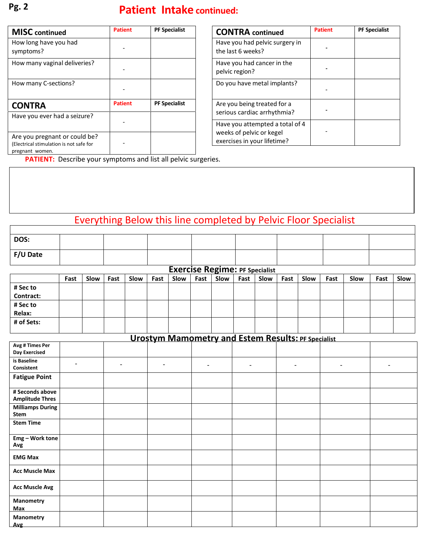## **Patient Intake continued: Pg. 2**

| <b>MISC</b> continued                                                                       | <b>Patient</b> | <b>PF Specialist</b> |
|---------------------------------------------------------------------------------------------|----------------|----------------------|
| How long have you had<br>symptoms?                                                          |                |                      |
| How many vaginal deliveries?                                                                |                |                      |
| How many C-sections?                                                                        |                |                      |
| <b>CONTRA</b>                                                                               | <b>Patient</b> | <b>PF Specialist</b> |
| Have you ever had a seizure?                                                                |                |                      |
| Are you pregnant or could be?<br>(Electrical stimulation is not safe for<br>pregnant women. |                |                      |

| <b>CONTRA</b> continued                                                                    | <b>Patient</b> | <b>PF Specialist</b> |
|--------------------------------------------------------------------------------------------|----------------|----------------------|
| Have you had pelvic surgery in<br>the last 6 weeks?                                        |                |                      |
| Have you had cancer in the<br>pelvic region?                                               |                |                      |
| Do you have metal implants?                                                                |                |                      |
| Are you being treated for a<br>serious cardiac arrhythmia?                                 |                |                      |
| Have you attempted a total of 4<br>weeks of pelvic or kegel<br>exercises in your lifetime? |                |                      |

**PATIENT:** Describe your symptoms and list all pelvic surgeries.

## Everything Below this line completed by Pelvic Floor Specialist

| DOS:     |  |  |  |  |
|----------|--|--|--|--|
| F/U Date |  |  |  |  |

| <b>Exercise Regime: PF Specialist</b> |      |      |      |      |      |      |      |      |      |      |      |      |      |      |      |      |
|---------------------------------------|------|------|------|------|------|------|------|------|------|------|------|------|------|------|------|------|
|                                       | Fast | Slow | Fast | Slow | Fast | Slow | Fast | Slow | Fast | Slow | Fast | Slow | Fast | Slow | Fast | Slow |
| # Sec to                              |      |      |      |      |      |      |      |      |      |      |      |      |      |      |      |      |
| Contract:                             |      |      |      |      |      |      |      |      |      |      |      |      |      |      |      |      |
| # Sec to                              |      |      |      |      |      |      |      |      |      |      |      |      |      |      |      |      |
| Relax:                                |      |      |      |      |      |      |      |      |      |      |      |      |      |      |      |      |
| # of Sets:                            |      |      |      |      |      |      |      |      |      |      |      |      |      |      |      |      |

| <b>Urostym Mamometry and Estem Results: PF Specialist</b> |  |                |                |                |                          |                              |                |  |  |  |  |
|-----------------------------------------------------------|--|----------------|----------------|----------------|--------------------------|------------------------------|----------------|--|--|--|--|
| Avg # Times Per<br><b>Day Exercised</b>                   |  |                |                |                |                          |                              |                |  |  |  |  |
| is Baseline<br>Consistent                                 |  | $\blacksquare$ | $\blacksquare$ | $\blacksquare$ | $\overline{\phantom{a}}$ | $\qquad \qquad \blacksquare$ | $\blacksquare$ |  |  |  |  |
| <b>Fatigue Point</b>                                      |  |                |                |                |                          |                              |                |  |  |  |  |
| # Seconds above<br><b>Amplitude Thres</b>                 |  |                |                |                |                          |                              |                |  |  |  |  |
| <b>Milliamps During</b><br><b>Stem</b>                    |  |                |                |                |                          |                              |                |  |  |  |  |
| <b>Stem Time</b>                                          |  |                |                |                |                          |                              |                |  |  |  |  |
| Emg - Work tone<br>Avg                                    |  |                |                |                |                          |                              |                |  |  |  |  |
| <b>EMG Max</b>                                            |  |                |                |                |                          |                              |                |  |  |  |  |
| <b>Acc Muscle Max</b>                                     |  |                |                |                |                          |                              |                |  |  |  |  |
| <b>Acc Muscle Avg</b>                                     |  |                |                |                |                          |                              |                |  |  |  |  |
| Manometry<br>Max                                          |  |                |                |                |                          |                              |                |  |  |  |  |
| Manometry<br>Avg                                          |  |                |                |                |                          |                              |                |  |  |  |  |

 $\Gamma$